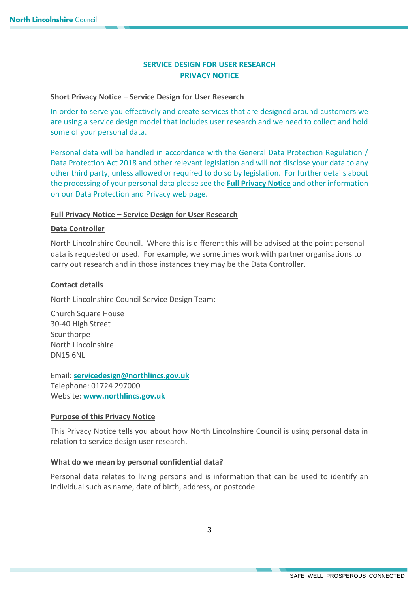# **SERVICE DESIGN FOR USER RESEARCH PRIVACY NOTICE**

# **Short Privacy Notice – Service Design for User Research**

In order to serve you effectively and create services that are designed around customers we are using a service design model that includes user research and we need to collect and hold some of your personal data.

Personal data will be handled in accordance with the General Data Protection Regulation / Data Protection Act 2018 and other relevant legislation and will not disclose your data to any other third party, unless allowed or required to do so by legislation. For further details about the processing of your personal data please see the **[Full Privacy Notice](https://www.northlincs.gov.uk/your-council/about-your-council/information-and-performance/information-governance/data-protection-and-privacy/)** and other information on our Data Protection and Privacy web page.

# **Full Privacy Notice – Service Design for User Research**

# **Data Controller**

North Lincolnshire Council. Where this is different this will be advised at the point personal data is requested or used. For example, we sometimes work with partner organisations to carry out research and in those instances they may be the Data Controller.

# **Contact details**

North Lincolnshire Council Service Design Team:

Church Square House 30-40 High Street **Scunthorpe** North Lincolnshire DN15 6NL

Email: **[servicedesign@northlincs.gov.uk](mailto:servicedesign@northlincs.gov.uk)** Telephone: 01724 297000 Website: **[www.northlincs.gov.uk](http://www.northlincs.gov.uk/)**

#### **Purpose of this Privacy Notice**

This Privacy Notice tells you about how North Lincolnshire Council is using personal data in relation to service design user research.

#### **What do we mean by personal confidential data?**

Personal data relates to living persons and is information that can be used to identify an individual such as name, date of birth, address, or postcode.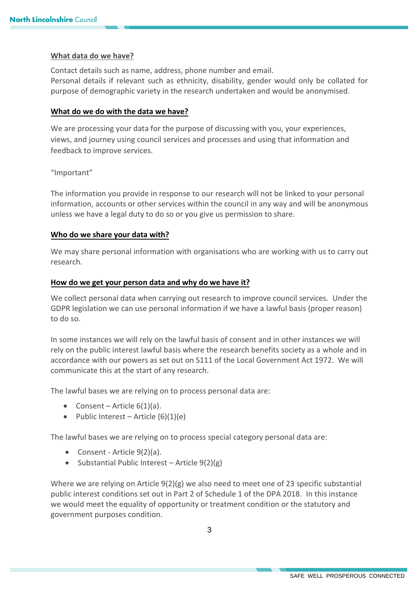#### **What data do we have?**

Contact details such as name, address, phone number and email. Personal details if relevant such as ethnicity, disability, gender would only be collated for purpose of demographic variety in the research undertaken and would be anonymised.

# **What do we do with the data we have?**

We are processing your data for the purpose of discussing with you, your experiences, views, and journey using council services and processes and using that information and feedback to improve services.

# "Important"

The information you provide in response to our research will not be linked to your personal information, accounts or other services within the council in any way and will be anonymous unless we have a legal duty to do so or you give us permission to share.

# **Who do we share your data with?**

We may share personal information with organisations who are working with us to carry out research.

# **How do we get your person data and why do we have it?**

We collect personal data when carrying out research to improve council services. Under the GDPR legislation we can use personal information if we have a lawful basis (proper reason) to do so.

In some instances we will rely on the lawful basis of consent and in other instances we will rely on the public interest lawful basis where the research benefits society as a whole and in accordance with our powers as set out on S111 of the Local Government Act 1972. We will communicate this at the start of any research.

The lawful bases we are relying on to process personal data are:

- Consent Article  $6(1)(a)$ .
- Public Interest Article  $(6)(1)(e)$

The lawful bases we are relying on to process special category personal data are:

- Consent Article 9(2)(a).
- $\bullet$  Substantial Public Interest Article 9(2)(g)

Where we are relying on Article 9(2)(g) we also need to meet one of 23 specific substantial public interest conditions set out in Part 2 of Schedule 1 of the DPA 2018. In this instance we would meet the equality of opportunity or treatment condition or the statutory and government purposes condition.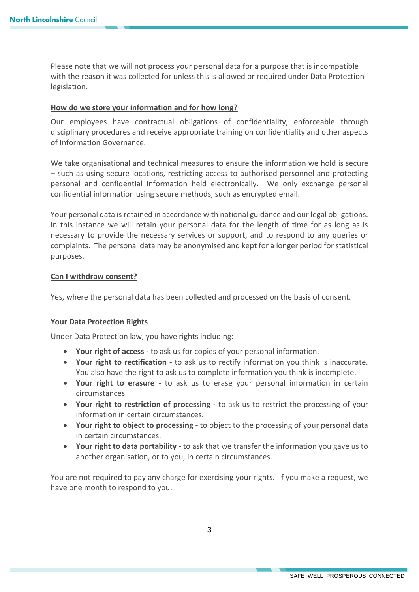Please note that we will not process your personal data for a purpose that is incompatible with the reason it was collected for unless this is allowed or required under Data Protection legislation.

# **How do we store your information and for how long?**

Our employees have contractual obligations of confidentiality, enforceable through disciplinary procedures and receive appropriate training on confidentiality and other aspects of Information Governance.

We take organisational and technical measures to ensure the information we hold is secure – such as using secure locations, restricting access to authorised personnel and protecting personal and confidential information held electronically. We only exchange personal confidential information using secure methods, such as encrypted email.

Your personal data is retained in accordance with national guidance and our legal obligations. In this instance we will retain your personal data for the length of time for as long as is necessary to provide the necessary services or support, and to respond to any queries or complaints. The personal data may be anonymised and kept for a longer period for statistical purposes.

# **Can I withdraw consent?**

Yes, where the personal data has been collected and processed on the basis of consent.

#### **Your Data Protection Rights**

Under Data Protection law, you have rights including:

- **Your right of access -** to ask us for copies of your personal information.
- **Your right to rectification -** to ask us to rectify information you think is inaccurate. You also have the right to ask us to complete information you think is incomplete.
- **Your right to erasure -** to ask us to erase your personal information in certain circumstances.
- **Your right to restriction of processing -** to ask us to restrict the processing of your information in certain circumstances.
- **Your right to object to processing -** to object to the processing of your personal data in certain circumstances.
- **Your right to data portability -** to ask that we transfer the information you gave us to another organisation, or to you, in certain circumstances.

You are not required to pay any charge for exercising your rights. If you make a request, we have one month to respond to you.